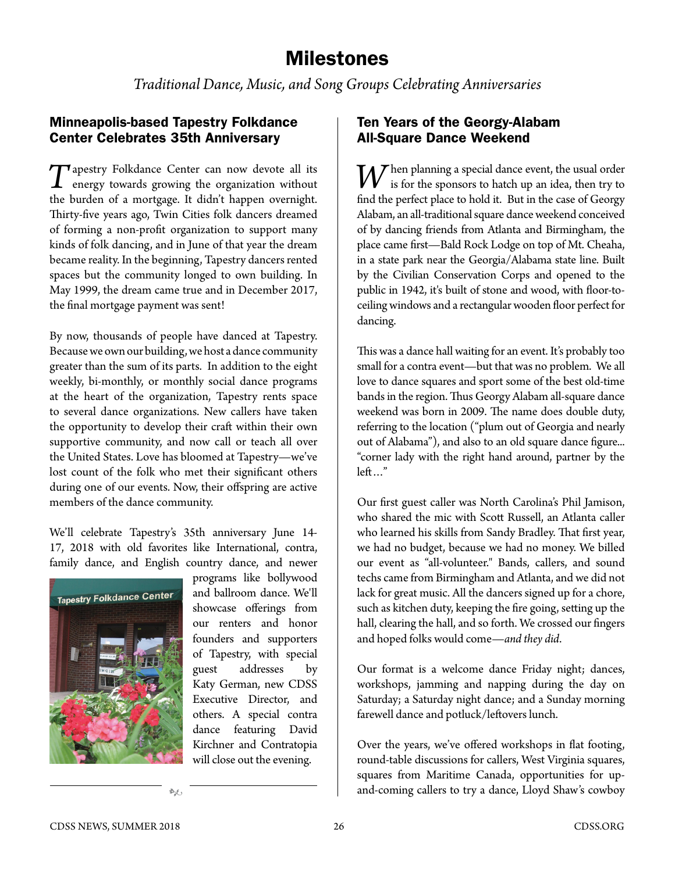# Milestones

*Traditional Dance, Music, and Song Groups Celebrating Anniversaries* 

## Minneapolis-based Tapestry Folkdance Center Celebrates 35th Anniversary

T[apestry Folkdance Center](http://tapestryfolkdance.org/) can now devote all its energy towards growing the organization without the burden of a mortgage. It didn't happen overnight. Thirty-five years ago, Twin Cities folk dancers dreamed of forming a non-profit organization to support many kinds of folk dancing, and in June of that year the dream became reality. In the beginning, Tapestry dancers rented spaces but the community longed to own building. In May 1999, the dream came true and in December 2017, the final mortgage payment was sent!

By now, thousands of people have danced at Tapestry. Because we own our building, we host a dance community greater than the sum of its parts. In addition to the eight weekly, bi-monthly, or monthly social dance programs at the heart of the organization, Tapestry rents space to several dance organizations. New callers have taken the opportunity to develop their craft within their own supportive community, and now call or teach all over the United States. Love has bloomed at Tapestry—we've lost count of the folk who met their significant others during one of our events. Now, their offspring are active members of the dance community.

We'll celebrate Tapestry's 35th anniversary June 14- 17, 2018 with old favorites like International, contra, family dance, and English country dance, and newer



programs like bollywood and ballroom dance. We'll showcase offerings from our renters and honor founders and supporters of Tapestry, with special guest addresses by Katy German, new CDSS Executive Director, and others. A special contra dance featuring David Kirchner and Contratopia will close out the evening.

## Ten Years of the Georgy-Alabam All-Square Dance Weekend

Then planning a special dance event, the usual order is for the sponsors to hatch up an idea, then try to find the perfect place to hold it. But in the case of Georgy Alabam, an all-traditional square dance weekend conceived of by dancing friends from Atlanta and Birmingham, the place came first—Bald Rock Lodge on top of Mt. Cheaha, in a state park near the Georgia/Alabama state line. Built by the Civilian Conservation Corps and opened to the public in 1942, it's built of stone and wood, with floor-toceiling windows and a rectangular wooden floor perfect for dancing.

This was a dance hall waiting for an event. It's probably too small for a contra event—but that was no problem. We all love to dance squares and sport some of the best old-time bands in the region. Thus Georgy Alabam all-square dance weekend was born in 2009. The name does double duty, referring to the location ("plum out of Georgia and nearly out of Alabama"), and also to an old square dance figure... "corner lady with the right hand around, partner by the left…"

Our first guest caller was North Carolina's Phil Jamison, who shared the mic with Scott Russell, an Atlanta caller who learned his skills from Sandy Bradley. That first year, we had no budget, because we had no money. We billed our event as "all-volunteer." Bands, callers, and sound techs came from Birmingham and Atlanta, and we did not lack for great music. All the dancers signed up for a chore, such as kitchen duty, keeping the fire going, setting up the hall, clearing the hall, and so forth. We crossed our fingers and hoped folks would come—*and they did*.

Our format is a welcome dance Friday night; dances, workshops, jamming and napping during the day on Saturday; a Saturday night dance; and a Sunday morning farewell dance and potluck/leftovers lunch.

Over the years, we've offered workshops in flat footing, round-table discussions for callers, West Virginia squares, squares from Maritime Canada, opportunities for up**k** and-coming callers to try a dance, Lloyd Shaw's cowboy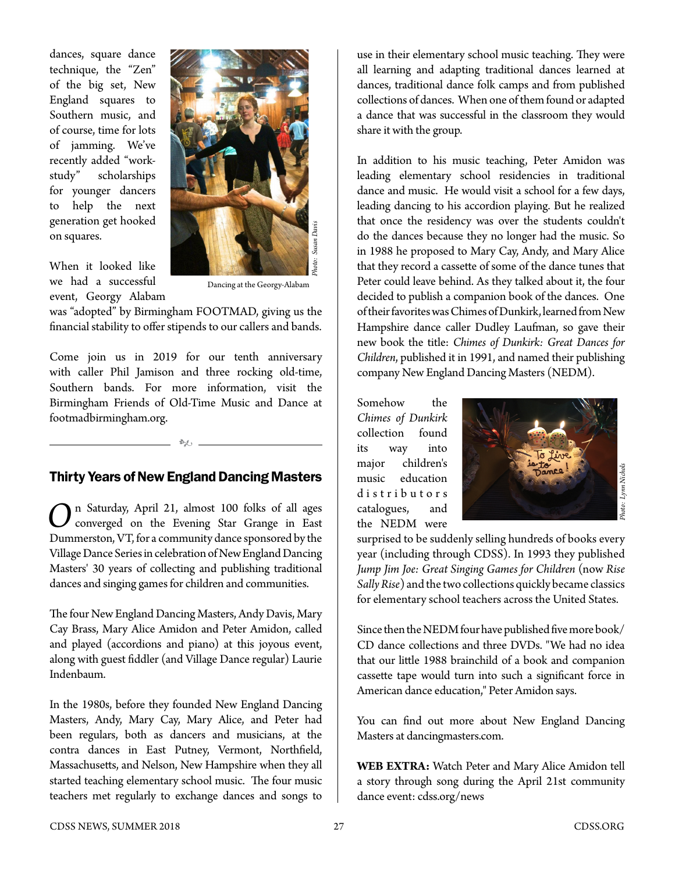dances, square dance technique, the "Zen" of the big set, New England squares to Southern music, and of course, time for lots of jamming. We've recently added "workstudy" scholarships for younger dancers to help the next generation get hooked on squares.



When it looked like we had a successful event, Georgy Alabam

Dancing at the Georgy-Alabam

was "adopted" by Birmingham FOOTMAD, giving us the financial stability to offer stipends to our callers and bands.

Come join us in 2019 for our tenth anniversary with caller Phil Jamison and three rocking old-time, Southern bands. For more information, visit the Birmingham Friends of Old-Time Music and Dance at [footmadbirmingham.org.](http://www.footmadbirmingham.org)

# Thirty Years of New England Dancing Masters

k

On Saturday, April 21, almost 100 folks of all ages<br>
converged on the Evening Star Grange in East<br>
Dummartian VT for a community data as approach by the Dummerston, VT, for a community dance sponsored by the Village Dance Series in celebration of New England Dancing Masters' 30 years of collecting and publishing traditional dances and singing games for children and communities.

The four New England Dancing Masters, Andy Davis, Mary Cay Brass, Mary Alice Amidon and Peter Amidon, called and played (accordions and piano) at this joyous event, along with guest fiddler (and Village Dance regular) Laurie Indenbaum.

In the 1980s, before they founded New England Dancing Masters, Andy, Mary Cay, Mary Alice, and Peter had been regulars, both as dancers and musicians, at the contra dances in East Putney, Vermont, Northfield, Massachusetts, and Nelson, New Hampshire when they all started teaching elementary school music. The four music teachers met regularly to exchange dances and songs to use in their elementary school music teaching. They were all learning and adapting traditional dances learned at dances, traditional dance folk camps and from published collections of dances. When one of them found or adapted a dance that was successful in the classroom they would share it with the group.

In addition to his music teaching, Peter Amidon was leading elementary school residencies in traditional dance and music. He would visit a school for a few days, leading dancing to his accordion playing. But he realized that once the residency was over the students couldn't do the dances because they no longer had the music. So in 1988 he proposed to Mary Cay, Andy, and Mary Alice that they record a cassette of some of the dance tunes that Peter could leave behind. As they talked about it, the four decided to publish a companion book of the dances. One of their favorites was Chimes of Dunkirk, learned from New Hampshire dance caller Dudley Laufman, so gave their new book the title: *Chimes of Dunkirk: Great Dances for Children*, published it in 1991, and named their publishing company New England Dancing Masters (NEDM).

Somehow the *Chimes of Dunkirk* collection found its way into major children's music education d i s t r i b u t o r s catalogues, and the NEDM were



surprised to be suddenly selling hundreds of books every year (including through CDSS). In 1993 they published *Jump Jim Joe: Great Singing Games for Children* (now *Rise Sally Rise*) and the two collections quickly became classics for elementary school teachers across the United States.

Since then the NEDM four have published five more book/ CD dance collections and three DVDs. "We had no idea that our little 1988 brainchild of a book and companion cassette tape would turn into such a significant force in American dance education," Peter Amidon says.

You can find out more about New England Dancing Masters at [dancingmasters.com.](http://www.dancingmasters.com)

**WEB EXTRA:** Watch Peter and Mary Alice Amidon tell a story through song during the April 21st community dance event: [cdss.org/news](https://www.cdss.org/news)